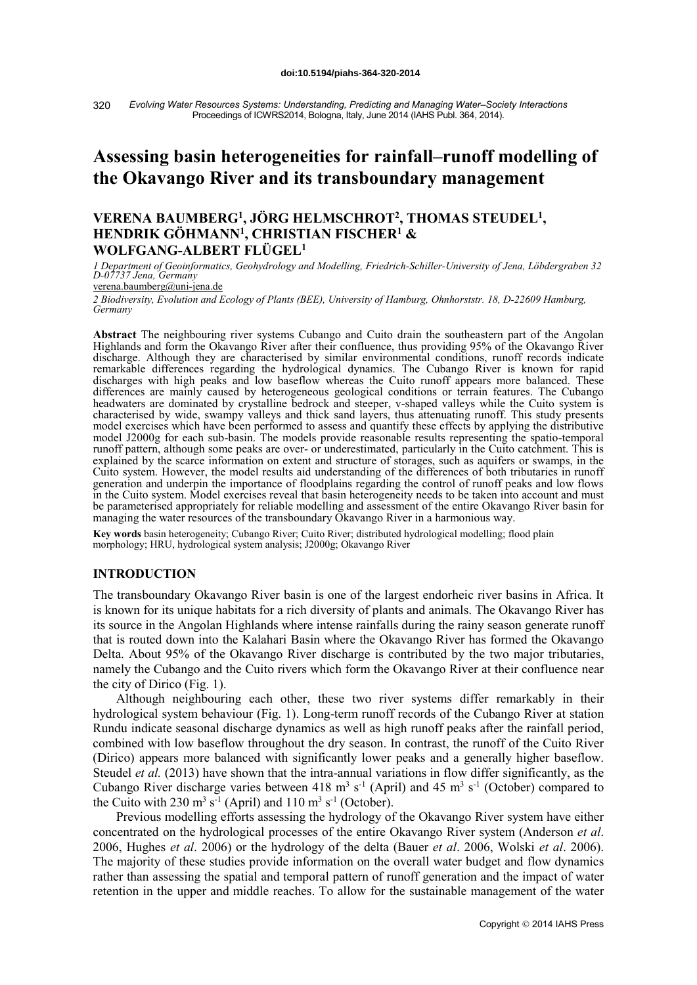*Evolving Water Resources Systems: Understanding, Predicting and Managing Water–Society Interactions* Proceedings of ICWRS2014, Bologna, Italy, June 2014 (IAHS Publ. 364, 2014). 320

# **Assessing basin heterogeneities for rainfall–runoff modelling of the Okavango River and its transboundary management**

## **VERENA BAUMBERG1, JÖRG HELMSCHROT2, THOMAS STEUDEL1, HENDRIK GÖHMANN1, CHRISTIAN FISCHER1 & WOLFGANG-ALBERT FLÜGEL1**

*1 Department of Geoinformatics, Geohydrology and Modelling, Friedrich-Schiller-University of Jena, Löbdergraben 32 D-07737 Jena, Germany*

verena.baumberg@uni-jena.de

*2 Biodiversity, Evolution and Ecology of Plants (BEE), University of Hamburg, Ohnhorststr. 18, D-22609 Hamburg, Germany*

**Abstract** The neighbouring river systems Cubango and Cuito drain the southeastern part of the Angolan Highlands and form the Okavango River after their confluence, thus providing 95% of the Okavango River discharge. Although they are characterised by similar environmental conditions, runoff records indicate remarkable differences regarding the hydrological dynamics. The Cubango River is known for rapid discharges with high peaks and low baseflow whereas the Cuito runoff appears more balanced. These differences are mainly caused by heterogeneous geological conditions or terrain features. The Cubango headwaters are dominated by crystalline bedrock and steeper, v-shaped valleys while the Cuito system is characterised by wide, swampy valleys and thick sand layers, thus attenuating runoff. This study presents model exercises which have been performed to assess and quantify these effects by applying the distributive model J2000g for each sub-basin. The models provide reasonable results representing the spatio-temporal runoff pattern, although some peaks are over- or underestimated, particularly in the Cuito catchment. This is explained by the scarce information on extent and structure of storages, such as aquifers or swamps, in the Cuito system. However, the model results aid understanding of the differences of both tributaries in runoff generation and underpin the importance of floodplains regarding the control of runoff peaks and low flows in the Cuito system. Model exercises reveal that basin heterogeneity needs to be taken into account and must be parameterised appropriately for reliable modelling and assessment of the entire Okavango River basin for managing the water resources of the transboundary Okavango River in a harmonious way.

**Key words** basin heterogeneity; Cubango River; Cuito River; distributed hydrological modelling; flood plain morphology; HRU, hydrological system analysis; J2000g; Okavango River

#### **INTRODUCTION**

The transboundary Okavango River basin is one of the largest endorheic river basins in Africa. It is known for its unique habitats for a rich diversity of plants and animals. The Okavango River has its source in the Angolan Highlands where intense rainfalls during the rainy season generate runoff that is routed down into the Kalahari Basin where the Okavango River has formed the Okavango Delta. About 95% of the Okavango River discharge is contributed by the two major tributaries, namely the Cubango and the Cuito rivers which form the Okavango River at their confluence near the city of Dirico (Fig. 1).

Although neighbouring each other, these two river systems differ remarkably in their hydrological system behaviour (Fig. 1). Long-term runoff records of the Cubango River at station Rundu indicate seasonal discharge dynamics as well as high runoff peaks after the rainfall period, combined with low baseflow throughout the dry season. In contrast, the runoff of the Cuito River (Dirico) appears more balanced with significantly lower peaks and a generally higher baseflow. Steudel *et al.* (2013) have shown that the intra-annual variations in flow differ significantly, as the Cubango River discharge varies between 418  $\text{m}^3$  s<sup>-1</sup> (April) and 45  $\text{m}^3$  s<sup>-1</sup> (October) compared to the Cuito with 230  $\text{m}^3$  s<sup>-1</sup> (April) and 110  $\text{m}^3$  s<sup>-1</sup> (October).

Previous modelling efforts assessing the hydrology of the Okavango River system have either concentrated on the hydrological processes of the entire Okavango River system (Anderson *et al*. 2006, Hughes *et al*. 2006) or the hydrology of the delta (Bauer *et al*. 2006, Wolski *et al*. 2006). The majority of these studies provide information on the overall water budget and flow dynamics rather than assessing the spatial and temporal pattern of runoff generation and the impact of water retention in the upper and middle reaches. To allow for the sustainable management of the water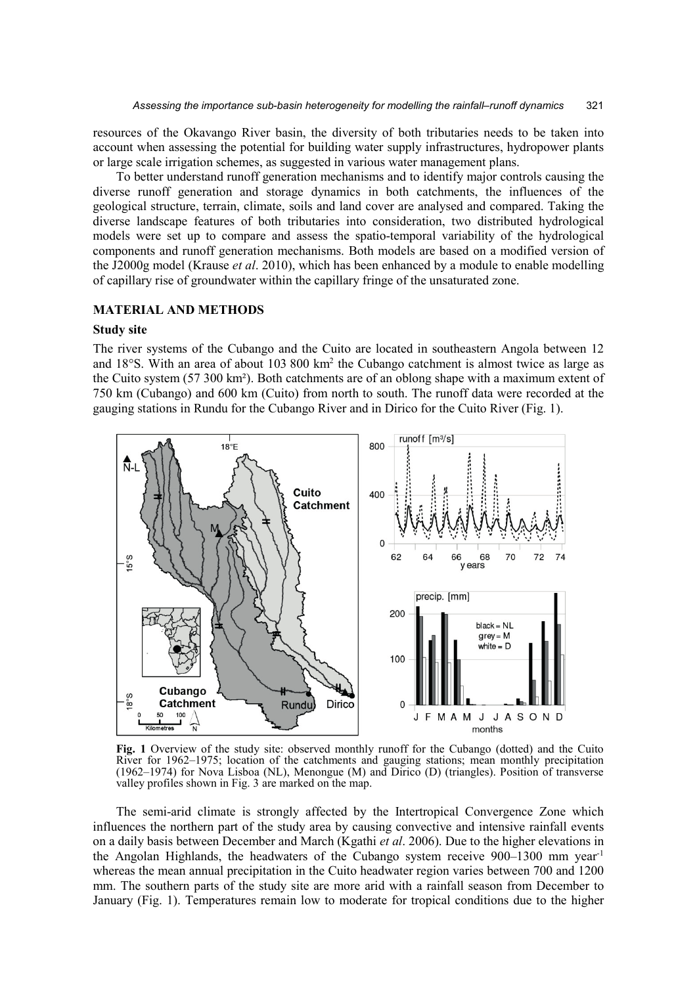resources of the Okavango River basin, the diversity of both tributaries needs to be taken into account when assessing the potential for building water supply infrastructures, hydropower plants or large scale irrigation schemes, as suggested in various water management plans.

To better understand runoff generation mechanisms and to identify major controls causing the diverse runoff generation and storage dynamics in both catchments, the influences of the geological structure, terrain, climate, soils and land cover are analysed and compared. Taking the diverse landscape features of both tributaries into consideration, two distributed hydrological models were set up to compare and assess the spatio-temporal variability of the hydrological components and runoff generation mechanisms. Both models are based on a modified version of the J2000g model (Krause *et al*. 2010), which has been enhanced by a module to enable modelling of capillary rise of groundwater within the capillary fringe of the unsaturated zone.

## **MATERIAL AND METHODS**

## **Study site**

The river systems of the Cubango and the Cuito are located in southeastern Angola between 12 and 18°S. With an area of about 103 800 km<sup>2</sup> the Cubango catchment is almost twice as large as the Cuito system (57 300 km²). Both catchments are of an oblong shape with a maximum extent of 750 km (Cubango) and 600 km (Cuito) from north to south. The runoff data were recorded at the gauging stations in Rundu for the Cubango River and in Dirico for the Cuito River (Fig. 1).



**Fig. 1** Overview of the study site: observed monthly runoff for the Cubango (dotted) and the Cuito River for 1962–1975; location of the catchments and gauging stations; mean monthly precipitation (1962–1974) for Nova Lisboa (NL), Menongue (M) and Dirico (D) (triangles). Position of transverse valley profiles shown in Fig. 3 are marked on the map.

The semi-arid climate is strongly affected by the Intertropical Convergence Zone which influences the northern part of the study area by causing convective and intensive rainfall events on a daily basis between December and March (Kgathi *et al*. 2006). Due to the higher elevations in the Angolan Highlands, the headwaters of the Cubango system receive  $900-1300$  mm year<sup>-1</sup> whereas the mean annual precipitation in the Cuito headwater region varies between 700 and 1200 mm. The southern parts of the study site are more arid with a rainfall season from December to January (Fig. 1). Temperatures remain low to moderate for tropical conditions due to the higher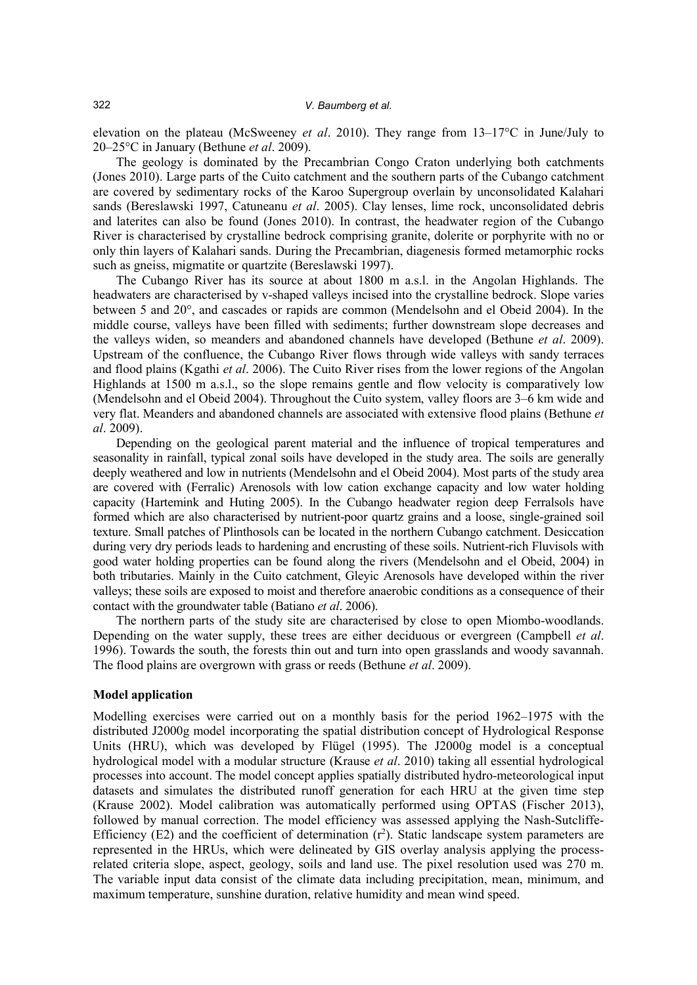elevation on the plateau (McSweeney *et al*. 2010). They range from 13–17°C in June/July to 20–25°C in January (Bethune *et al*. 2009).

The geology is dominated by the Precambrian Congo Craton underlying both catchments (Jones 2010). Large parts of the Cuito catchment and the southern parts of the Cubango catchment are covered by sedimentary rocks of the Karoo Supergroup overlain by unconsolidated Kalahari sands (Bereslawski 1997, Catuneanu *et al*. 2005). Clay lenses, lime rock, unconsolidated debris and laterites can also be found (Jones 2010). In contrast, the headwater region of the Cubango River is characterised by crystalline bedrock comprising granite, dolerite or porphyrite with no or only thin layers of Kalahari sands. During the Precambrian, diagenesis formed metamorphic rocks such as gneiss, migmatite or quartzite (Bereslawski 1997).

The Cubango River has its source at about 1800 m a.s.l. in the Angolan Highlands. The headwaters are characterised by v-shaped valleys incised into the crystalline bedrock. Slope varies between 5 and 20°, and cascades or rapids are common (Mendelsohn and el Obeid 2004). In the middle course, valleys have been filled with sediments; further downstream slope decreases and the valleys widen, so meanders and abandoned channels have developed (Bethune *et al*. 2009). Upstream of the confluence, the Cubango River flows through wide valleys with sandy terraces and flood plains (Kgathi *et al*. 2006). The Cuito River rises from the lower regions of the Angolan Highlands at 1500 m a.s.l., so the slope remains gentle and flow velocity is comparatively low (Mendelsohn and el Obeid 2004). Throughout the Cuito system, valley floors are 3–6 km wide and very flat. Meanders and abandoned channels are associated with extensive flood plains (Bethune *et al*. 2009).

Depending on the geological parent material and the influence of tropical temperatures and seasonality in rainfall, typical zonal soils have developed in the study area. The soils are generally deeply weathered and low in nutrients (Mendelsohn and el Obeid 2004). Most parts of the study area are covered with (Ferralic) Arenosols with low cation exchange capacity and low water holding capacity (Hartemink and Huting 2005). In the Cubango headwater region deep Ferralsols have formed which are also characterised by nutrient-poor quartz grains and a loose, single-grained soil texture. Small patches of Plinthosols can be located in the northern Cubango catchment. Desiccation during very dry periods leads to hardening and encrusting of these soils. Nutrient-rich Fluvisols with good water holding properties can be found along the rivers (Mendelsohn and el Obeid, 2004) in both tributaries. Mainly in the Cuito catchment, Gleyic Arenosols have developed within the river valleys; these soils are exposed to moist and therefore anaerobic conditions as a consequence of their contact with the groundwater table (Batiano *et al*. 2006).

The northern parts of the study site are characterised by close to open Miombo-woodlands. Depending on the water supply, these trees are either deciduous or evergreen (Campbell *et al*. 1996). Towards the south, the forests thin out and turn into open grasslands and woody savannah. The flood plains are overgrown with grass or reeds (Bethune *et al*. 2009).

#### **Model application**

Modelling exercises were carried out on a monthly basis for the period 1962–1975 with the distributed J2000g model incorporating the spatial distribution concept of Hydrological Response Units (HRU), which was developed by Flügel (1995). The J2000g model is a conceptual hydrological model with a modular structure (Krause *et al*. 2010) taking all essential hydrological processes into account. The model concept applies spatially distributed hydro-meteorological input datasets and simulates the distributed runoff generation for each HRU at the given time step (Krause 2002). Model calibration was automatically performed using OPTAS (Fischer 2013), followed by manual correction. The model efficiency was assessed applying the Nash-Sutcliffe-Efficiency (E2) and the coefficient of determination  $(r^2)$ . Static landscape system parameters are represented in the HRUs, which were delineated by GIS overlay analysis applying the processrelated criteria slope, aspect, geology, soils and land use. The pixel resolution used was 270 m. The variable input data consist of the climate data including precipitation, mean, minimum, and maximum temperature, sunshine duration, relative humidity and mean wind speed.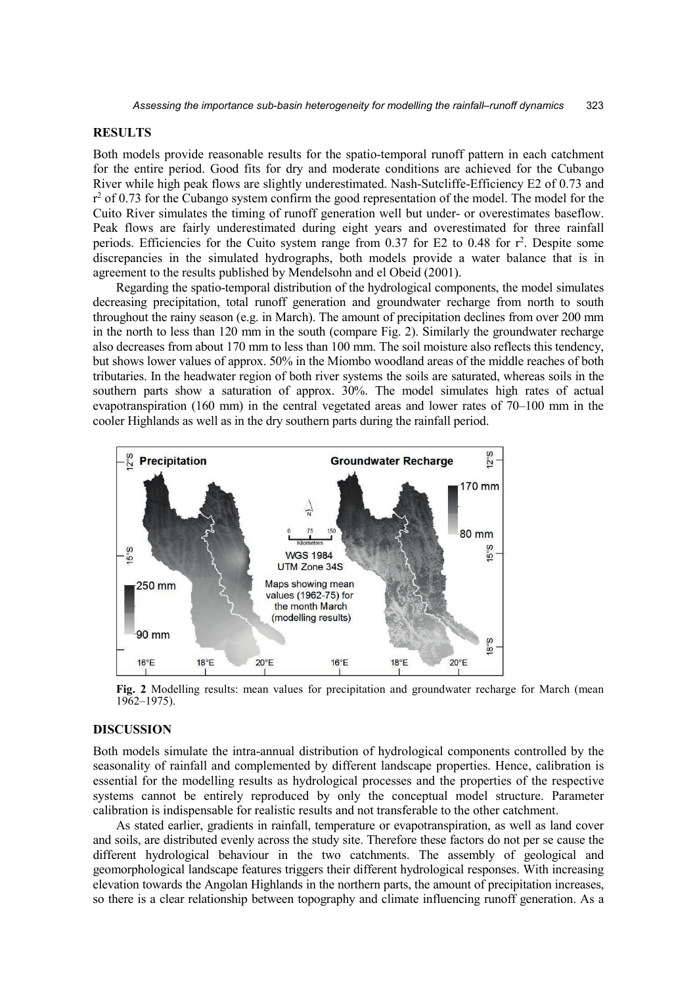## **RESULTS**

Both models provide reasonable results for the spatio-temporal runoff pattern in each catchment for the entire period. Good fits for dry and moderate conditions are achieved for the Cubango River while high peak flows are slightly underestimated. Nash-Sutcliffe-Efficiency E2 of 0.73 and  $r^2$  of 0.73 for the Cubango system confirm the good representation of the model. The model for the Cuito River simulates the timing of runoff generation well but under- or overestimates baseflow. Peak flows are fairly underestimated during eight years and overestimated for three rainfall periods. Efficiencies for the Cuito system range from 0.37 for E2 to 0.48 for r 2 . Despite some discrepancies in the simulated hydrographs, both models provide a water balance that is in agreement to the results published by Mendelsohn and el Obeid (2001).

Regarding the spatio-temporal distribution of the hydrological components, the model simulates decreasing precipitation, total runoff generation and groundwater recharge from north to south throughout the rainy season (e.g. in March). The amount of precipitation declines from over 200 mm in the north to less than 120 mm in the south (compare Fig. 2). Similarly the groundwater recharge also decreases from about 170 mm to less than 100 mm. The soil moisture also reflects this tendency, but shows lower values of approx. 50% in the Miombo woodland areas of the middle reaches of both tributaries. In the headwater region of both river systems the soils are saturated, whereas soils in the southern parts show a saturation of approx. 30%. The model simulates high rates of actual evapotranspiration (160 mm) in the central vegetated areas and lower rates of 70–100 mm in the cooler Highlands as well as in the dry southern parts during the rainfall period.



**Fig. 2** Modelling results: mean values for precipitation and groundwater recharge for March (mean 1962–1975).

## **DISCUSSION**

Both models simulate the intra-annual distribution of hydrological components controlled by the seasonality of rainfall and complemented by different landscape properties. Hence, calibration is essential for the modelling results as hydrological processes and the properties of the respective systems cannot be entirely reproduced by only the conceptual model structure. Parameter calibration is indispensable for realistic results and not transferable to the other catchment.

As stated earlier, gradients in rainfall, temperature or evapotranspiration, as well as land cover and soils, are distributed evenly across the study site. Therefore these factors do not per se cause the different hydrological behaviour in the two catchments. The assembly of geological and geomorphological landscape features triggers their different hydrological responses. With increasing elevation towards the Angolan Highlands in the northern parts, the amount of precipitation increases, so there is a clear relationship between topography and climate influencing runoff generation. As a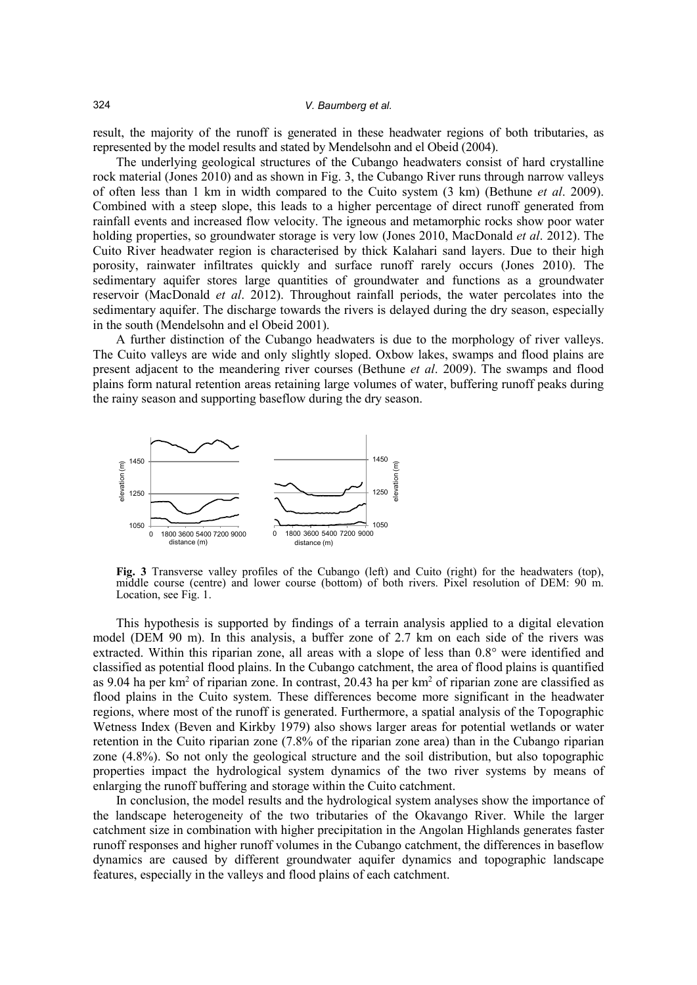result, the majority of the runoff is generated in these headwater regions of both tributaries, as represented by the model results and stated by Mendelsohn and el Obeid (2004).

The underlying geological structures of the Cubango headwaters consist of hard crystalline rock material (Jones 2010) and as shown in Fig. 3, the Cubango River runs through narrow valleys of often less than 1 km in width compared to the Cuito system (3 km) (Bethune *et al*. 2009). Combined with a steep slope, this leads to a higher percentage of direct runoff generated from rainfall events and increased flow velocity. The igneous and metamorphic rocks show poor water holding properties, so groundwater storage is very low (Jones 2010, MacDonald *et al*. 2012). The Cuito River headwater region is characterised by thick Kalahari sand layers. Due to their high porosity, rainwater infiltrates quickly and surface runoff rarely occurs (Jones 2010). The sedimentary aquifer stores large quantities of groundwater and functions as a groundwater reservoir (MacDonald *et al*. 2012). Throughout rainfall periods, the water percolates into the sedimentary aquifer. The discharge towards the rivers is delayed during the dry season, especially in the south (Mendelsohn and el Obeid 2001).

A further distinction of the Cubango headwaters is due to the morphology of river valleys. The Cuito valleys are wide and only slightly sloped. Oxbow lakes, swamps and flood plains are present adjacent to the meandering river courses (Bethune *et al*. 2009). The swamps and flood plains form natural retention areas retaining large volumes of water, buffering runoff peaks during the rainy season and supporting baseflow during the dry season.



**Fig. 3** Transverse valley profiles of the Cubango (left) and Cuito (right) for the headwaters (top), middle course (centre) and lower course (bottom) of both rivers. Pixel resolution of DEM: 90 m. Location, see Fig. 1.

This hypothesis is supported by findings of a terrain analysis applied to a digital elevation model (DEM 90 m). In this analysis, a buffer zone of 2.7 km on each side of the rivers was extracted. Within this riparian zone, all areas with a slope of less than 0.8° were identified and classified as potential flood plains. In the Cubango catchment, the area of flood plains is quantified as 9.04 ha per km<sup>2</sup> of riparian zone. In contrast, 20.43 ha per km<sup>2</sup> of riparian zone are classified as flood plains in the Cuito system. These differences become more significant in the headwater regions, where most of the runoff is generated. Furthermore, a spatial analysis of the Topographic Wetness Index (Beven and Kirkby 1979) also shows larger areas for potential wetlands or water retention in the Cuito riparian zone (7.8% of the riparian zone area) than in the Cubango riparian zone (4.8%). So not only the geological structure and the soil distribution, but also topographic properties impact the hydrological system dynamics of the two river systems by means of enlarging the runoff buffering and storage within the Cuito catchment.

In conclusion, the model results and the hydrological system analyses show the importance of the landscape heterogeneity of the two tributaries of the Okavango River. While the larger catchment size in combination with higher precipitation in the Angolan Highlands generates faster runoff responses and higher runoff volumes in the Cubango catchment, the differences in baseflow dynamics are caused by different groundwater aquifer dynamics and topographic landscape features, especially in the valleys and flood plains of each catchment.